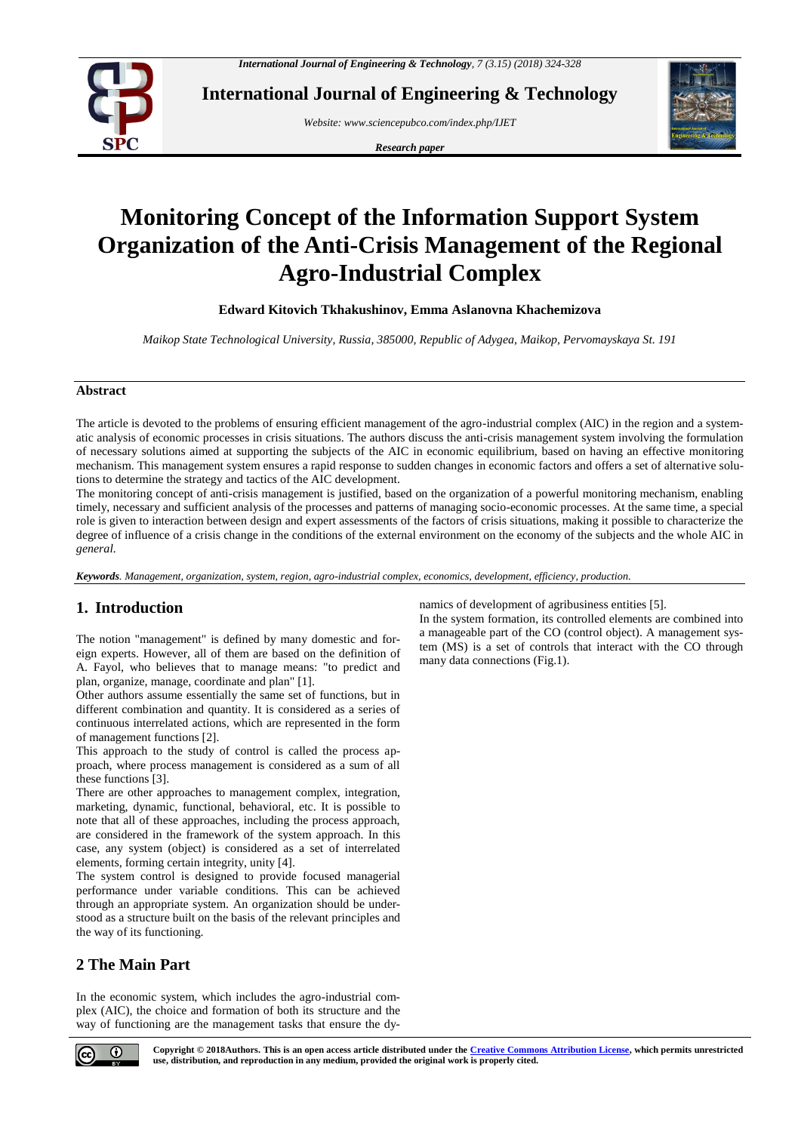

**International Journal of Engineering & Technology**

*Website: www.sciencepubco.com/index.php/IJET* 

*Research paper*



# **Monitoring Concept of the Information Support System Organization of the Anti-Crisis Management of the Regional Agro-Industrial Complex**

**Edward Kitovich Tkhakushinov, Emma Aslanovna Khachemizova**

*Maikop State Technological University, Russia, 385000, Republic of Adygea, Maikop, Pervomayskaya St. 191*

## **Abstract**

The article is devoted to the problems of ensuring efficient management of the agro-industrial complex (AIC) in the region and a systematic analysis of economic processes in crisis situations. The authors discuss the anti-crisis management system involving the formulation of necessary solutions aimed at supporting the subjects of the AIC in economic equilibrium, based on having an effective monitoring mechanism. This management system ensures a rapid response to sudden changes in economic factors and offers a set of alternative solutions to determine the strategy and tactics of the AIC development.

The monitoring concept of anti-crisis management is justified, based on the organization of a powerful monitoring mechanism, enabling timely, necessary and sufficient analysis of the processes and patterns of managing socio-economic processes. At the same time, a special role is given to interaction between design and expert assessments of the factors of crisis situations, making it possible to characterize the degree of influence of a crisis change in the conditions of the external environment on the economy of the subjects and the whole AIC in *general.*

*Keywords. Management, organization, system, region, agro-industrial complex, economics, development, efficiency, production.*

## **1. Introduction**

The notion "management" is defined by many domestic and foreign experts. However, all of them are based on the definition of A. Fayol, who believes that to manage means: "to predict and plan, organize, manage, coordinate and plan" [1].

Other authors assume essentially the same set of functions, but in different combination and quantity. It is considered as a series of continuous interrelated actions, which are represented in the form of management functions [2].

This approach to the study of control is called the process approach, where process management is considered as a sum of all these functions [3].

There are other approaches to management complex, integration, marketing, dynamic, functional, behavioral, etc. It is possible to note that all of these approaches, including the process approach, are considered in the framework of the system approach. In this case, any system (object) is considered as a set of interrelated elements, forming certain integrity, unity [4].

The system control is designed to provide focused managerial performance under variable conditions. This can be achieved through an appropriate system. An organization should be understood as a structure built on the basis of the relevant principles and the way of its functioning.

## **2 The Main Part**

In the economic system, which includes the agro-industrial complex (AIC), the choice and formation of both its structure and the way of functioning are the management tasks that ensure the dynamics of development of agribusiness entities [5].

In the system formation, its controlled elements are combined into a manageable part of the CO (control object). A management system (MS) is a set of controls that interact with the CO through many data connections (Fig.1).

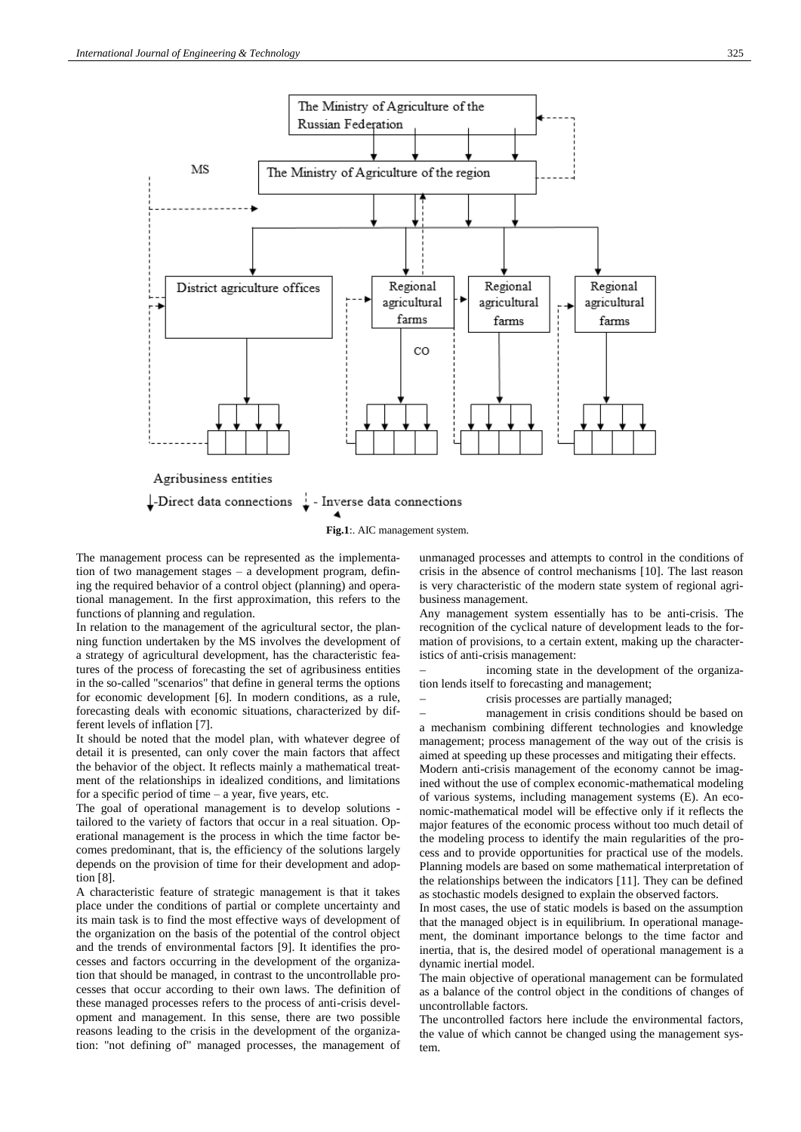

The management process can be represented as the implementation of two management stages – a development program, defining the required behavior of a control object (planning) and operational management. In the first approximation, this refers to the functions of planning and regulation.

In relation to the management of the agricultural sector, the planning function undertaken by the MS involves the development of a strategy of agricultural development, has the characteristic features of the process of forecasting the set of agribusiness entities in the so-called "scenarios" that define in general terms the options for economic development [6]. In modern conditions, as a rule, forecasting deals with economic situations, characterized by different levels of inflation [7].

It should be noted that the model plan, with whatever degree of detail it is presented, can only cover the main factors that affect the behavior of the object. It reflects mainly a mathematical treatment of the relationships in idealized conditions, and limitations for a specific period of time  $-$  a year, five years, etc.

The goal of operational management is to develop solutions tailored to the variety of factors that occur in a real situation. Operational management is the process in which the time factor becomes predominant, that is, the efficiency of the solutions largely depends on the provision of time for their development and adoption [8].

A characteristic feature of strategic management is that it takes place under the conditions of partial or complete uncertainty and its main task is to find the most effective ways of development of the organization on the basis of the potential of the control object and the trends of environmental factors [9]. It identifies the processes and factors occurring in the development of the organization that should be managed, in contrast to the uncontrollable processes that occur according to their own laws. The definition of these managed processes refers to the process of anti-crisis development and management. In this sense, there are two possible reasons leading to the crisis in the development of the organization: "not defining of" managed processes, the management of

unmanaged processes and attempts to control in the conditions of crisis in the absence of control mechanisms [10]. The last reason is very characteristic of the modern state system of regional agribusiness management.

Any management system essentially has to be anti-crisis. The recognition of the cyclical nature of development leads to the formation of provisions, to a certain extent, making up the characteristics of anti-crisis management:

 incoming state in the development of the organization lends itself to forecasting and management;

crisis processes are partially managed;

 management in crisis conditions should be based on a mechanism combining different technologies and knowledge management; process management of the way out of the crisis is aimed at speeding up these processes and mitigating their effects.

Modern anti-crisis management of the economy cannot be imagined without the use of complex economic-mathematical modeling of various systems, including management systems (E). An economic-mathematical model will be effective only if it reflects the major features of the economic process without too much detail of the modeling process to identify the main regularities of the process and to provide opportunities for practical use of the models. Planning models are based on some mathematical interpretation of the relationships between the indicators [11]. They can be defined as stochastic models designed to explain the observed factors.

In most cases, the use of static models is based on the assumption that the managed object is in equilibrium. In operational management, the dominant importance belongs to the time factor and inertia, that is, the desired model of operational management is a dynamic inertial model.

The main objective of operational management can be formulated as a balance of the control object in the conditions of changes of uncontrollable factors.

The uncontrolled factors here include the environmental factors, the value of which cannot be changed using the management system.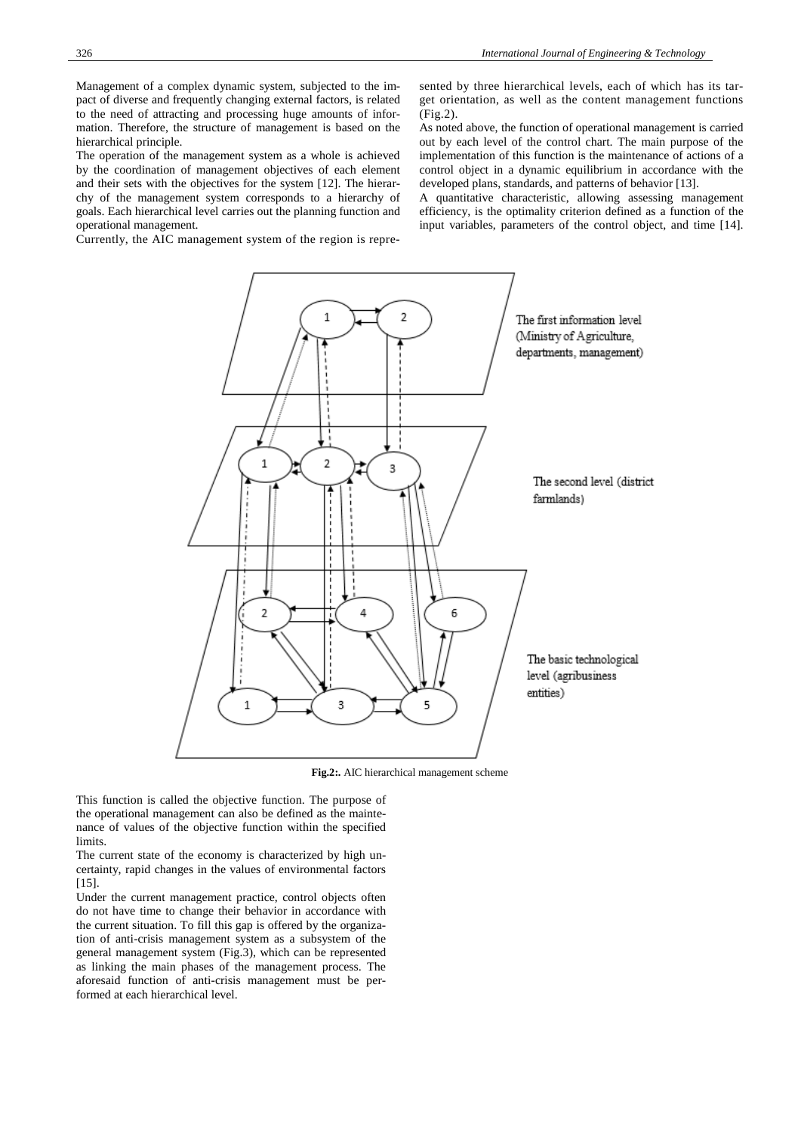Management of a complex dynamic system, subjected to the impact of diverse and frequently changing external factors, is related to the need of attracting and processing huge amounts of information. Therefore, the structure of management is based on the hierarchical principle.

The operation of the management system as a whole is achieved by the coordination of management objectives of each element and their sets with the objectives for the system [12]. The hierarchy of the management system corresponds to a hierarchy of goals. Each hierarchical level carries out the planning function and operational management.

Currently, the AIC management system of the region is repre-

sented by three hierarchical levels, each of which has its target orientation, as well as the content management functions (Fig.2).

As noted above, the function of operational management is carried out by each level of the control chart. The main purpose of the implementation of this function is the maintenance of actions of a control object in a dynamic equilibrium in accordance with the developed plans, standards, and patterns of behavior [13].

A quantitative characteristic, allowing assessing management efficiency, is the optimality criterion defined as a function of the input variables, parameters of the control object, and time [14].



**Fig.2:.** AIC hierarchical management scheme

This function is called the objective function. The purpose of the operational management can also be defined as the maintenance of values of the objective function within the specified **limits** 

The current state of the economy is characterized by high uncertainty, rapid changes in the values of environmental factors [15].

Under the current management practice, control objects often do not have time to change their behavior in accordance with the current situation. To fill this gap is offered by the organization of anti-crisis management system as a subsystem of the general management system (Fig.3), which can be represented as linking the main phases of the management process. The aforesaid function of anti-crisis management must be performed at each hierarchical level.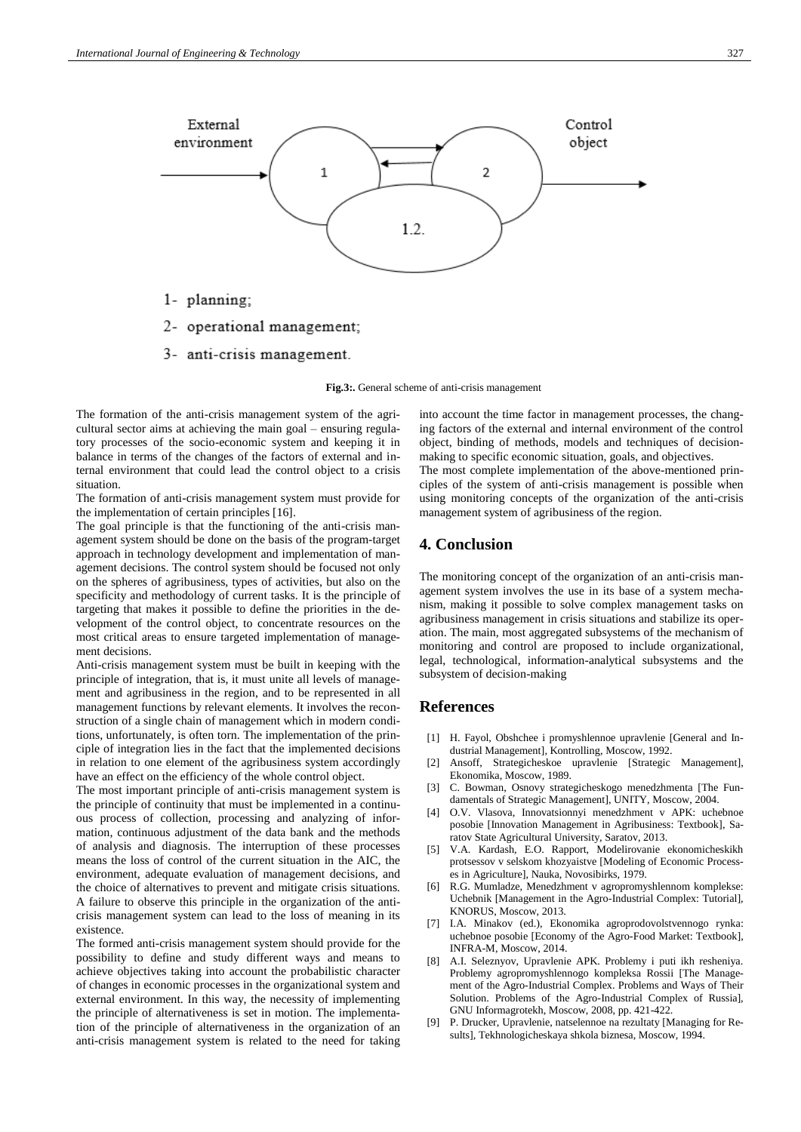

- 1- planning;
- 2- operational management;
- 3- anti-crisis management.

**Fig.3:.** General scheme of anti-crisis management

The formation of the anti-crisis management system of the agricultural sector aims at achieving the main goal – ensuring regulatory processes of the socio-economic system and keeping it in balance in terms of the changes of the factors of external and internal environment that could lead the control object to a crisis situation.

The formation of anti-crisis management system must provide for the implementation of certain principles [16].

The goal principle is that the functioning of the anti-crisis management system should be done on the basis of the program-target approach in technology development and implementation of management decisions. The control system should be focused not only on the spheres of agribusiness, types of activities, but also on the specificity and methodology of current tasks. It is the principle of targeting that makes it possible to define the priorities in the development of the control object, to concentrate resources on the most critical areas to ensure targeted implementation of management decisions.

Anti-crisis management system must be built in keeping with the principle of integration, that is, it must unite all levels of management and agribusiness in the region, and to be represented in all management functions by relevant elements. It involves the reconstruction of a single chain of management which in modern conditions, unfortunately, is often torn. The implementation of the principle of integration lies in the fact that the implemented decisions in relation to one element of the agribusiness system accordingly have an effect on the efficiency of the whole control object.

The most important principle of anti-crisis management system is the principle of continuity that must be implemented in a continuous process of collection, processing and analyzing of information, continuous adjustment of the data bank and the methods of analysis and diagnosis. The interruption of these processes means the loss of control of the current situation in the AIC, the environment, adequate evaluation of management decisions, and the choice of alternatives to prevent and mitigate crisis situations. A failure to observe this principle in the organization of the anticrisis management system can lead to the loss of meaning in its existence.

The formed anti-crisis management system should provide for the possibility to define and study different ways and means to achieve objectives taking into account the probabilistic character of changes in economic processes in the organizational system and external environment. In this way, the necessity of implementing the principle of alternativeness is set in motion. The implementation of the principle of alternativeness in the organization of an anti-crisis management system is related to the need for taking

into account the time factor in management processes, the changing factors of the external and internal environment of the control object, binding of methods, models and techniques of decisionmaking to specific economic situation, goals, and objectives. The most complete implementation of the above-mentioned principles of the system of anti-crisis management is possible when using monitoring concepts of the organization of the anti-crisis management system of agribusiness of the region.

## **4. Conclusion**

The monitoring concept of the organization of an anti-crisis management system involves the use in its base of a system mechanism, making it possible to solve complex management tasks on agribusiness management in crisis situations and stabilize its operation. The main, most aggregated subsystems of the mechanism of monitoring and control are proposed to include organizational, legal, technological, information-analytical subsystems and the subsystem of decision-making

#### **References**

- [1] H. Fayol, Obshchee i promyshlennoe upravlenie [General and Industrial Management], Kontrolling, Moscow, 1992.
- [2] Ansoff, Strategicheskoe upravlenie [Strategic Management], Ekonomika, Moscow, 1989.
- [3] C. Bowman, Osnovy strategicheskogo menedzhmenta [The Fundamentals of Strategic Management], UNITY, Moscow, 2004.
- [4] O.V. Vlasova, Innovatsionnyi menedzhment v APK: uchebnoe posobie [Innovation Management in Agribusiness: Textbook], Saratov State Agricultural University, Saratov, 2013.
- [5] V.A. Kardash, E.O. Rapport, Modelirovanie ekonomicheskikh protsessov v selskom khozyaistve [Modeling of Economic Processes in Agriculture], Nauka, Novosibirks, 1979.
- [6] R.G. Mumladze, Menedzhment v agropromyshlennom komplekse: Uchebnik [Management in the Agro-Industrial Complex: Tutorial], KNORUS, Moscow, 2013.
- [7] I.A. Minakov (ed.), Ekonomika agroprodovolstvennogo rynka: uchebnoe posobie [Economy of the Agro-Food Market: Textbook], INFRA-M, Moscow, 2014.
- [8] A.I. Seleznyov, Upravlenie APK. Problemy i puti ikh resheniya. Problemy agropromyshlennogo kompleksa Rossii [The Management of the Agro-Industrial Complex. Problems and Ways of Their Solution. Problems of the Agro-Industrial Complex of Russia], GNU Informagrotekh, Moscow, 2008, pp. 421-422.
- [9] P. Drucker, Upravlenie, natselennoe na rezultaty [Managing for Results], Tekhnologicheskaya shkola biznesa, Moscow, 1994.